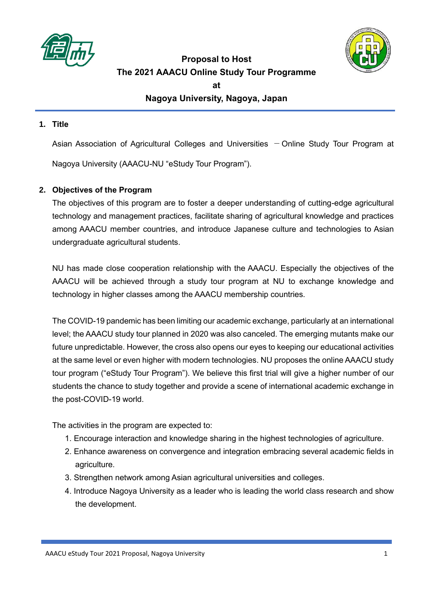



**Proposal to Host The 2021 AAACU Online Study Tour Programme**

**at** 

**Nagoya University, Nagoya, Japan**

#### **1. Title**

Asian Association of Agricultural Colleges and Universities  $-$  Online Study Tour Program at Nagoya University (AAACU-NU "eStudy Tour Program").

# **2. Objectives of the Program**

The objectives of this program are to foster a deeper understanding of cutting-edge agricultural technology and management practices, facilitate sharing of agricultural knowledge and practices among AAACU member countries, and introduce Japanese culture and technologies to Asian undergraduate agricultural students.

NU has made close cooperation relationship with the AAACU. Especially the objectives of the AAACU will be achieved through a study tour program at NU to exchange knowledge and technology in higher classes among the AAACU membership countries.

The COVID-19 pandemic has been limiting our academic exchange, particularly at an international level; the AAACU study tour planned in 2020 was also canceled. The emerging mutants make our future unpredictable. However, the cross also opens our eyes to keeping our educational activities at the same level or even higher with modern technologies. NU proposes the online AAACU study tour program ("eStudy Tour Program"). We believe this first trial will give a higher number of our students the chance to study together and provide a scene of international academic exchange in the post-COVID-19 world.

The activities in the program are expected to:

- 1. Encourage interaction and knowledge sharing in the highest technologies of agriculture.
- 2. Enhance awareness on convergence and integration embracing several academic fields in agriculture.
- 3. Strengthen network among Asian agricultural universities and colleges.
- 4. Introduce Nagoya University as a leader who is leading the world class research and show the development.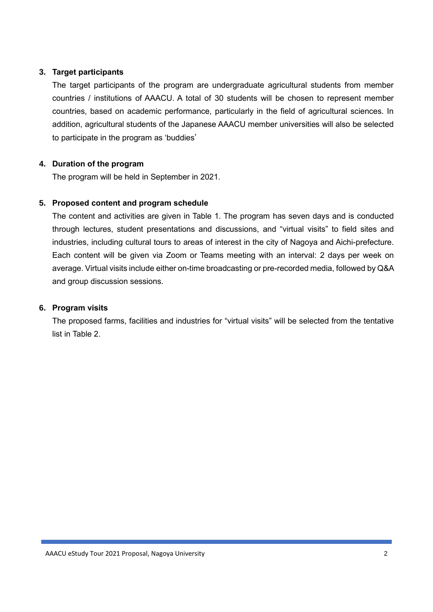## **3. Target participants**

The target participants of the program are undergraduate agricultural students from member countries / institutions of AAACU. A total of 30 students will be chosen to represent member countries, based on academic performance, particularly in the field of agricultural sciences. In addition, agricultural students of the Japanese AAACU member universities will also be selected to participate in the program as 'buddies'

## **4. Duration of the program**

The program will be held in September in 2021.

## **5. Proposed content and program schedule**

The content and activities are given in Table 1. The program has seven days and is conducted through lectures, student presentations and discussions, and "virtual visits" to field sites and industries, including cultural tours to areas of interest in the city of Nagoya and Aichi-prefecture. Each content will be given via Zoom or Teams meeting with an interval: 2 days per week on average. Virtual visits include either on-time broadcasting or pre-recorded media, followed by Q&A and group discussion sessions.

#### **6. Program visits**

The proposed farms, facilities and industries for "virtual visits" will be selected from the tentative list in Table 2.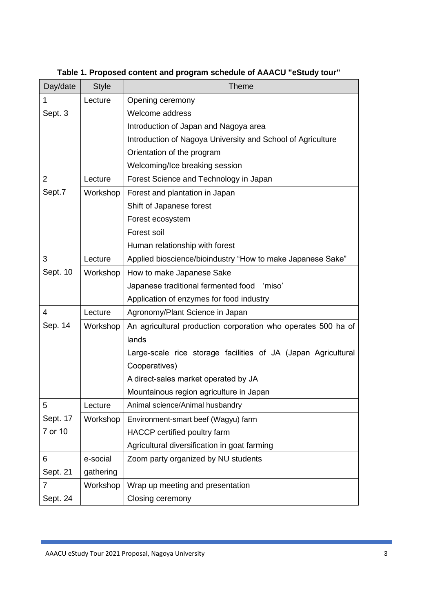| Day/date       | <b>Style</b> | <b>Theme</b>                                                  |
|----------------|--------------|---------------------------------------------------------------|
| 1              | Lecture      | Opening ceremony                                              |
| Sept. 3        |              | Welcome address                                               |
|                |              | Introduction of Japan and Nagoya area                         |
|                |              | Introduction of Nagoya University and School of Agriculture   |
|                |              | Orientation of the program                                    |
|                |              | Welcoming/Ice breaking session                                |
| $\overline{2}$ | Lecture      | Forest Science and Technology in Japan                        |
| Sept.7         | Workshop     | Forest and plantation in Japan                                |
|                |              | Shift of Japanese forest                                      |
|                |              | Forest ecosystem                                              |
|                |              | Forest soil                                                   |
|                |              | Human relationship with forest                                |
| 3              | Lecture      | Applied bioscience/bioindustry "How to make Japanese Sake"    |
| Sept. 10       | Workshop     | How to make Japanese Sake                                     |
|                |              | Japanese traditional fermented food<br>'miso'                 |
|                |              | Application of enzymes for food industry                      |
| 4              | Lecture      | Agronomy/Plant Science in Japan                               |
| Sep. 14        | Workshop     | An agricultural production corporation who operates 500 ha of |
|                |              | lands                                                         |
|                |              | Large-scale rice storage facilities of JA (Japan Agricultural |
|                |              | Cooperatives)                                                 |
|                |              | A direct-sales market operated by JA                          |
|                |              | Mountainous region agriculture in Japan                       |
| 5              | Lecture      | Animal science/Animal husbandry                               |
| Sept. 17       | Workshop     | Environment-smart beef (Wagyu) farm                           |
| 7 or 10        |              | HACCP certified poultry farm                                  |
|                |              | Agricultural diversification in goat farming                  |
| 6              | e-social     | Zoom party organized by NU students                           |
| Sept. 21       | gathering    |                                                               |
| $\overline{7}$ | Workshop     | Wrap up meeting and presentation                              |
| Sept. 24       |              | Closing ceremony                                              |

**Table 1. Proposed content and program schedule of AAACU "eStudy tour"**